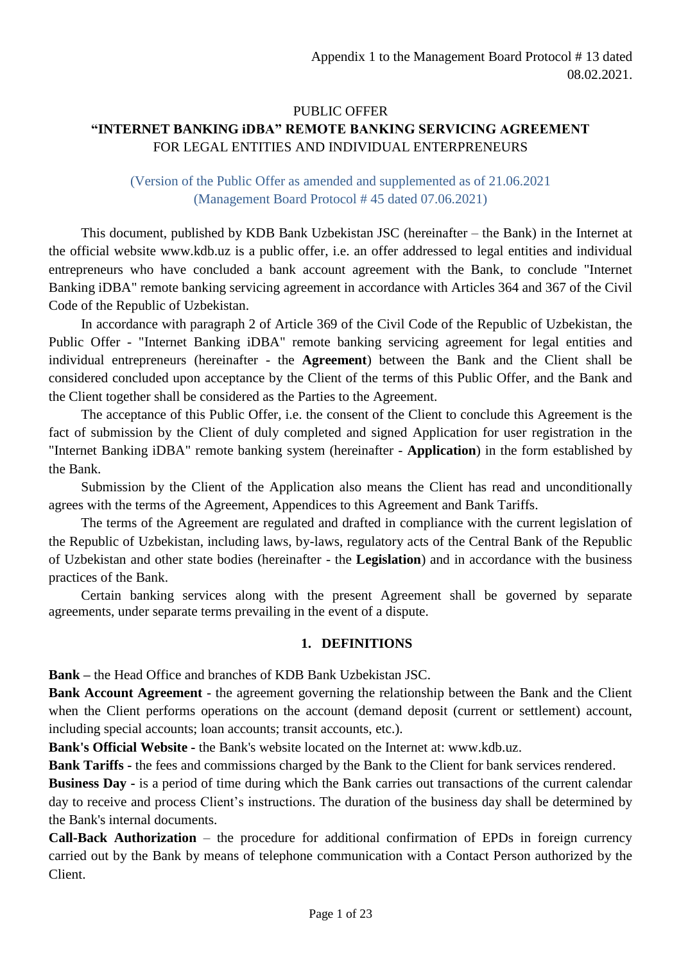# PUBLIC OFFER **"INTERNET BANKING iDBA" REMOTE BANKING SERVICING AGREEMENT**  FOR LEGAL ENTITIES AND INDIVIDUAL ENTERPRENEURS

## (Version of the Public Offer as amended and supplemented as of 21.06.2021 (Management Board Protocol # 45 dated 07.06.2021)

This document, published by KDB Bank Uzbekistan JSC (hereinafter – the Bank) in the Internet at the official website www.kdb.uz is a public offer, i.e. an offer addressed to legal entities and individual entrepreneurs who have concluded a bank account agreement with the Bank, to conclude "Internet Banking iDBA" remote banking servicing agreement in accordance with Articles 364 and 367 of the Civil Code of the Republic of Uzbekistan.

In accordance with paragraph 2 of Article 369 of the Civil Code of the Republic of Uzbekistan, the Public Offer - "Internet Banking iDBA" remote banking servicing agreement for legal entities and individual entrepreneurs (hereinafter - the **Agreement**) between the Bank and the Client shall be considered concluded upon acceptance by the Client of the terms of this Public Offer, and the Bank and the Client together shall be considered as the Parties to the Agreement.

The acceptance of this Public Offer, i.e. the consent of the Client to conclude this Agreement is the fact of submission by the Client of duly completed and signed Application for user registration in the "Internet Banking iDBA" remote banking system (hereinafter - **Application**) in the form established by the Bank.

Submission by the Client of the Application also means the Client has read and unconditionally agrees with the terms of the Agreement, Appendices to this Agreement and Bank Tariffs.

The terms of the Agreement are regulated and drafted in compliance with the current legislation of the Republic of Uzbekistan, including laws, by-laws, regulatory acts of the Central Bank of the Republic of Uzbekistan and other state bodies (hereinafter - the **Legislation**) and in accordance with the business practices of the Bank.

Certain banking services along with the present Agreement shall be governed by separate agreements, under separate terms prevailing in the event of a dispute.

## **1. DEFINITIONS**

**Bank –** the Head Office and branches of KDB Bank Uzbekistan JSC.

**Bank Account Agreement** - the agreement governing the relationship between the Bank and the Client when the Client performs operations on the account (demand deposit (current or settlement) account, including special accounts; loan accounts; transit accounts, etc.).

**Bank's Official Website -** the Bank's website located on the Internet at: www.kdb.uz.

**Bank Tariffs -** the fees and commissions charged by the Bank to the Client for bank services rendered.

**Business Day -** is a period of time during which the Bank carries out transactions of the current calendar day to receive and process Client's instructions. The duration of the business day shall be determined by the Bank's internal documents.

**Call-Back Authorization** – the procedure for additional confirmation of EPDs in foreign currency carried out by the Bank by means of telephone communication with a Contact Person authorized by the Client.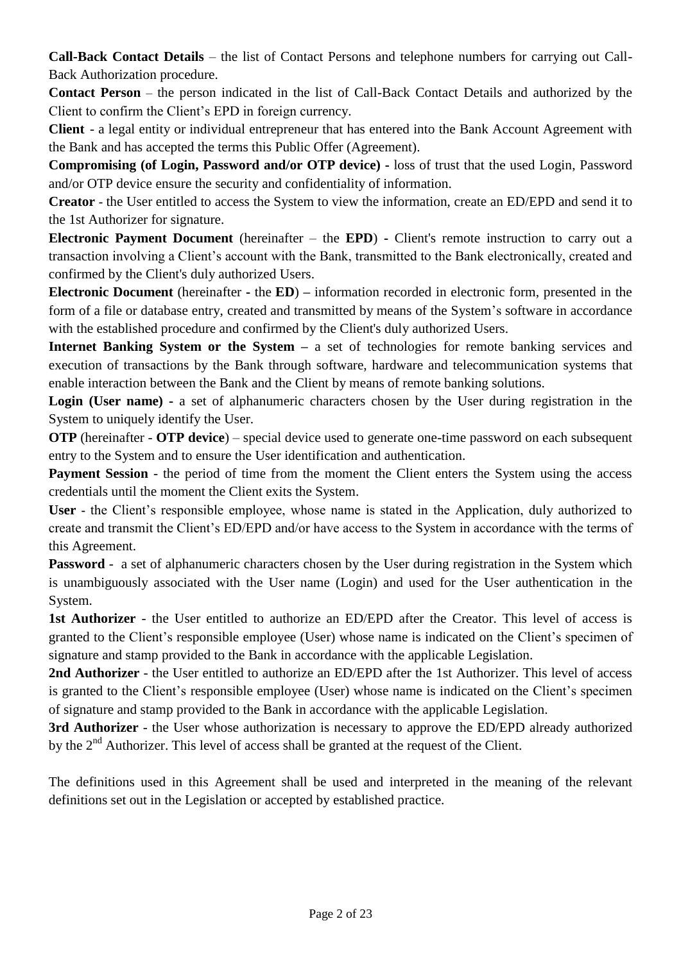**Call-Back Contact Details** – the list of Contact Persons and telephone numbers for carrying out Call-Back Authorization procedure.

**Contact Person** – the person indicated in the list of Call-Back Contact Details and authorized by the Client to confirm the Client's EPD in foreign currency.

**Client** - a legal entity or individual entrepreneur that has entered into the Bank Account Agreement with the Bank and has accepted the terms this Public Offer (Agreement).

**Compromising (of Login, Password and/or OTP device) -** loss of trust that the used Login, Password and/or OTP device ensure the security and confidentiality of information.

**Creator -** the User entitled to access the System to view the information, create an ED/EPD and send it to the 1st Authorizer for signature.

**Electronic Payment Document** (hereinafter – the **EPD**) **-** Client's remote instruction to carry out a transaction involving a Client's account with the Bank, transmitted to the Bank electronically, created and confirmed by the Client's duly authorized Users.

**Electronic Document** (hereinafter **-** the **ED**) **–** information recorded in electronic form, presented in the form of a file or database entry, created and transmitted by means of the System's software in accordance with the established procedure and confirmed by the Client's duly authorized Users.

**Internet Banking System or the System –** a set of technologies for remote banking services and execution of transactions by the Bank through software, hardware and telecommunication systems that enable interaction between the Bank and the Client by means of remote banking solutions.

**Login (User name) -** a set of alphanumeric characters chosen by the User during registration in the System to uniquely identify the User.

**OTP** (hereinafter - **OTP device**) – special device used to generate one-time password on each subsequent entry to the System and to ensure the User identification and authentication.

**Payment Session** - the period of time from the moment the Client enters the System using the access credentials until the moment the Client exits the System.

**User -** the Client's responsible employee, whose name is stated in the Application, duly authorized to create and transmit the Client's ED/EPD and/or have access to the System in accordance with the terms of this Agreement.

**Password** - a set of alphanumeric characters chosen by the User during registration in the System which is unambiguously associated with the User name (Login) and used for the User authentication in the System.

**1st Authorizer** - the User entitled to authorize an ED/EPD after the Creator. This level of access is granted to the Client's responsible employee (User) whose name is indicated on the Client's specimen of signature and stamp provided to the Bank in accordance with the applicable Legislation.

**2nd Authorizer** - the User entitled to authorize an ED/EPD after the 1st Authorizer. This level of access is granted to the Client's responsible employee (User) whose name is indicated on the Client's specimen of signature and stamp provided to the Bank in accordance with the applicable Legislation.

**3rd Authorizer** - the User whose authorization is necessary to approve the ED/EPD already authorized by the  $2<sup>nd</sup>$  Authorizer. This level of access shall be granted at the request of the Client.

The definitions used in this Agreement shall be used and interpreted in the meaning of the relevant definitions set out in the Legislation or accepted by established practice.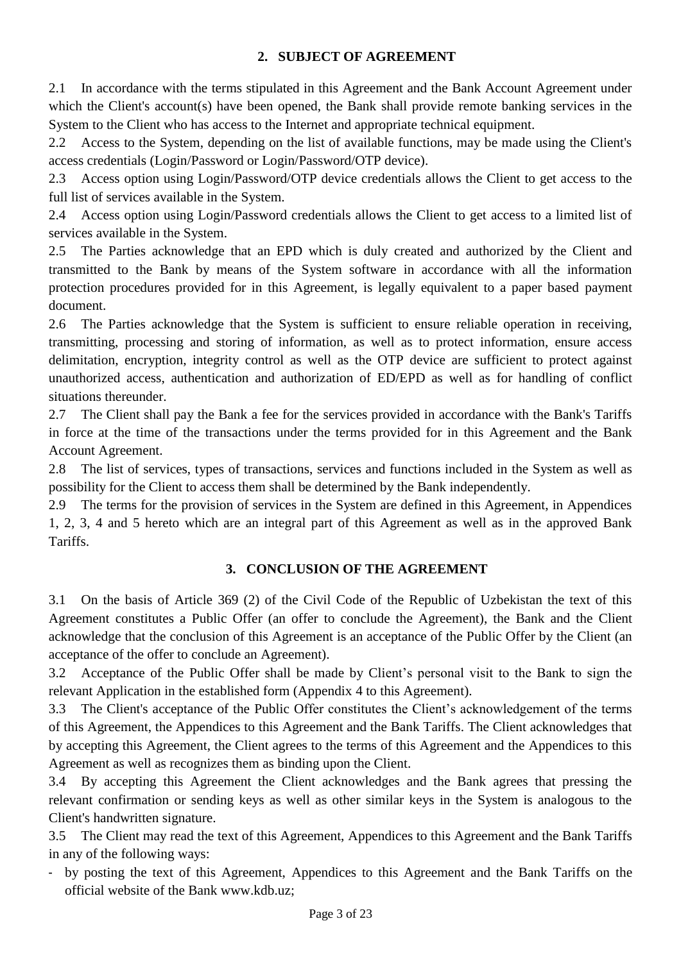# **2. SUBJECT OF AGREEMENT**

2.1 In accordance with the terms stipulated in this Agreement and the Bank Account Agreement under which the Client's account(s) have been opened, the Bank shall provide remote banking services in the System to the Client who has access to the Internet and appropriate technical equipment.

2.2 Access to the System, depending on the list of available functions, may be made using the Client's access credentials (Login/Password or Login/Password/OTP device).

2.3 Access option using Login/Password/OTP device credentials allows the Client to get access to the full list of services available in the System.

2.4 Access option using Login/Password credentials allows the Client to get access to a limited list of services available in the System.

2.5 The Parties acknowledge that an EPD which is duly created and authorized by the Client and transmitted to the Bank by means of the System software in accordance with all the information protection procedures provided for in this Agreement, is legally equivalent to a paper based payment document.

2.6 The Parties acknowledge that the System is sufficient to ensure reliable operation in receiving, transmitting, processing and storing of information, as well as to protect information, ensure access delimitation, encryption, integrity control as well as the OTP device are sufficient to protect against unauthorized access, authentication and authorization of ED/EPD as well as for handling of conflict situations thereunder.

2.7 The Client shall pay the Bank a fee for the services provided in accordance with the Bank's Tariffs in force at the time of the transactions under the terms provided for in this Agreement and the Bank Account Agreement.

2.8 The list of services, types of transactions, services and functions included in the System as well as possibility for the Client to access them shall be determined by the Bank independently.

2.9 The terms for the provision of services in the System are defined in this Agreement, in Appendices 1, 2, 3, 4 and 5 hereto which are an integral part of this Agreement as well as in the approved Bank Tariffs.

## **3. CONCLUSION OF THE AGREEMENT**

3.1 On the basis of Article 369 (2) of the Civil Code of the Republic of Uzbekistan the text of this Agreement constitutes a Public Offer (an offer to conclude the Agreement), the Bank and the Client acknowledge that the conclusion of this Agreement is an acceptance of the Public Offer by the Client (an acceptance of the offer to conclude an Agreement).

3.2 Acceptance of the Public Offer shall be made by Client's personal visit to the Bank to sign the relevant Application in the established form (Appendix 4 to this Agreement).

3.3 The Client's acceptance of the Public Offer constitutes the Client's acknowledgement of the terms of this Agreement, the Appendices to this Agreement and the Bank Tariffs. The Client acknowledges that by accepting this Agreement, the Client agrees to the terms of this Agreement and the Appendices to this Agreement as well as recognizes them as binding upon the Client.

3.4 By accepting this Agreement the Client acknowledges and the Bank agrees that pressing the relevant confirmation or sending keys as well as other similar keys in the System is analogous to the Client's handwritten signature.

3.5 The Client may read the text of this Agreement, Appendices to this Agreement and the Bank Tariffs in any of the following ways:

- by posting the text of this Agreement, Appendices to this Agreement and the Bank Tariffs on the official website of the Bank www.kdb.uz;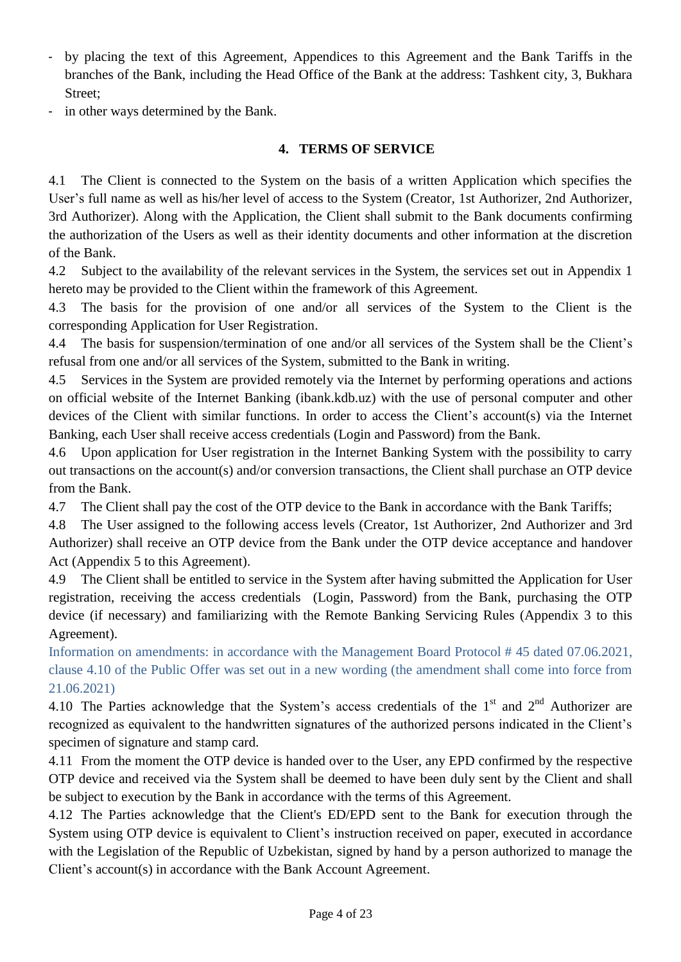- by placing the text of this Agreement, Appendices to this Agreement and the Bank Tariffs in the branches of the Bank, including the Head Office of the Bank at the address: Tashkent city, 3, Bukhara Street;
- in other ways determined by the Bank.

# **4. TERMS OF SERVICE**

4.1 The Client is connected to the System on the basis of a written Application which specifies the User's full name as well as his/her level of access to the System (Creator, 1st Authorizer, 2nd Authorizer, 3rd Authorizer). Along with the Application, the Client shall submit to the Bank documents confirming the authorization of the Users as well as their identity documents and other information at the discretion of the Bank.

4.2 Subject to the availability of the relevant services in the System, the services set out in Appendix 1 hereto may be provided to the Client within the framework of this Agreement.

4.3 The basis for the provision of one and/or all services of the System to the Client is the corresponding Application for User Registration.

4.4 The basis for suspension/termination of one and/or all services of the System shall be the Client's refusal from one and/or all services of the System, submitted to the Bank in writing.

4.5 Services in the System are provided remotely via the Internet by performing operations and actions on official website of the Internet Banking (ibank.kdb.uz) with the use of personal computer and other devices of the Client with similar functions. In order to access the Client's account(s) via the Internet Banking, each User shall receive access credentials (Login and Password) from the Bank.

4.6 Upon application for User registration in the Internet Banking System with the possibility to carry out transactions on the account(s) and/or conversion transactions, the Client shall purchase an OTP device from the Bank.

4.7 The Client shall pay the cost of the OTP device to the Bank in accordance with the Bank Tariffs;

4.8 The User assigned to the following access levels (Creator, 1st Authorizer, 2nd Authorizer and 3rd Authorizer) shall receive an OTP device from the Bank under the OTP device acceptance and handover Act (Appendix 5 to this Agreement).

4.9 The Client shall be entitled to service in the System after having submitted the Application for User registration, receiving the access credentials (Login, Password) from the Bank, purchasing the OTP device (if necessary) and familiarizing with the Remote Banking Servicing Rules (Appendix 3 to this Agreement).

Information on amendments: in accordance with the Management Board Protocol # 45 dated 07.06.2021, clause 4.10 of the Public Offer was set out in a new wording (the amendment shall come into force from 21.06.2021)

4.10 The Parties acknowledge that the System's access credentials of the  $1<sup>st</sup>$  and  $2<sup>nd</sup>$  Authorizer are recognized as equivalent to the handwritten signatures of the authorized persons indicated in the Client's specimen of signature and stamp card.

4.11 From the moment the OTP device is handed over to the User, any EPD confirmed by the respective OTP device and received via the System shall be deemed to have been duly sent by the Client and shall be subject to execution by the Bank in accordance with the terms of this Agreement.

4.12 The Parties acknowledge that the Client's ED/EPD sent to the Bank for execution through the System using OTP device is equivalent to Client's instruction received on paper, executed in accordance with the Legislation of the Republic of Uzbekistan, signed by hand by a person authorized to manage the Client's account(s) in accordance with the Bank Account Agreement.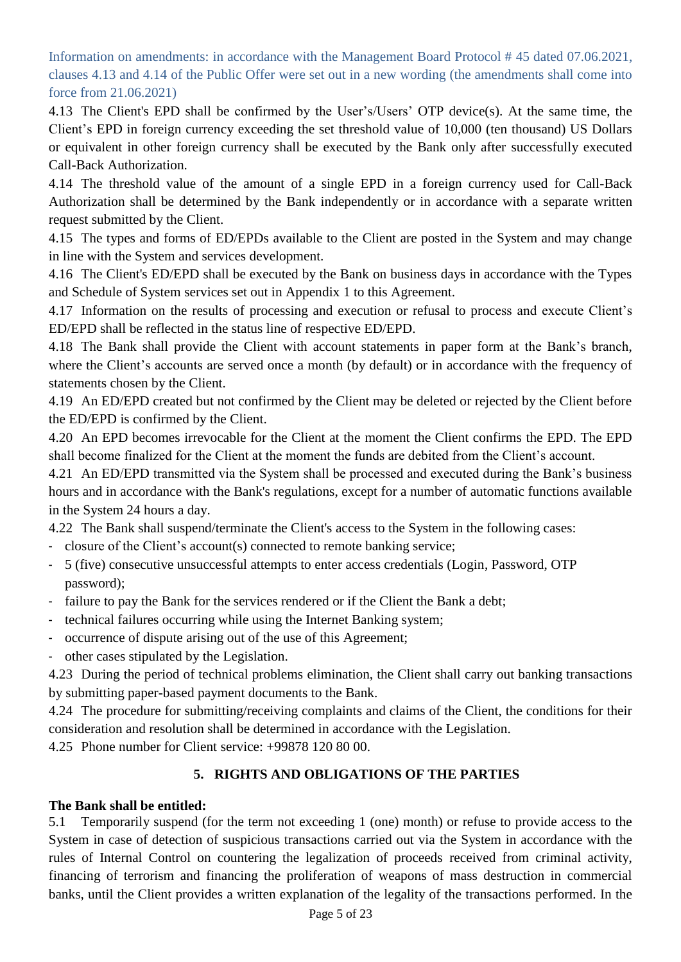Information on amendments: in accordance with the Management Board Protocol # 45 dated 07.06.2021, clauses 4.13 and 4.14 of the Public Offer were set out in a new wording (the amendments shall come into force from 21.06.2021)

4.13 The Client's EPD shall be confirmed by the User's/Users' OTP device(s). At the same time, the Client's EPD in foreign currency exceeding the set threshold value of 10,000 (ten thousand) US Dollars or equivalent in other foreign currency shall be executed by the Bank only after successfully executed Call-Back Authorization.

4.14 The threshold value of the amount of a single EPD in a foreign currency used for Call-Back Authorization shall be determined by the Bank independently or in accordance with a separate written request submitted by the Client.

4.15 The types and forms of ED/EPDs available to the Client are posted in the System and may change in line with the System and services development.

4.16 The Client's ED/EPD shall be executed by the Bank on business days in accordance with the Types and Schedule of System services set out in Appendix 1 to this Agreement.

4.17 Information on the results of processing and execution or refusal to process and execute Client's ED/EPD shall be reflected in the status line of respective ED/EPD.

4.18 The Bank shall provide the Client with account statements in paper form at the Bank's branch, where the Client's accounts are served once a month (by default) or in accordance with the frequency of statements chosen by the Client.

4.19 An ED/EPD created but not confirmed by the Client may be deleted or rejected by the Client before the ED/EPD is confirmed by the Client.

4.20 An EPD becomes irrevocable for the Client at the moment the Client confirms the EPD. The EPD shall become finalized for the Client at the moment the funds are debited from the Client's account.

4.21 An ED/EPD transmitted via the System shall be processed and executed during the Bank's business hours and in accordance with the Bank's regulations, except for a number of automatic functions available in the System 24 hours a day.

4.22 The Bank shall suspend/terminate the Client's access to the System in the following cases:

- closure of the Client's account(s) connected to remote banking service;
- 5 (five) consecutive unsuccessful attempts to enter access credentials (Login, Password, OTP password);
- failure to pay the Bank for the services rendered or if the Client the Bank a debt;
- technical failures occurring while using the Internet Banking system;
- occurrence of dispute arising out of the use of this Agreement;
- other cases stipulated by the Legislation.

4.23 During the period of technical problems elimination, the Client shall carry out banking transactions by submitting paper-based payment documents to the Bank.

4.24 The procedure for submitting/receiving complaints and claims of the Client, the conditions for their consideration and resolution shall be determined in accordance with the Legislation.

4.25 Phone number for Client service: +99878 120 80 00.

# **5. RIGHTS AND OBLIGATIONS OF THE PARTIES**

## **The Bank shall be entitled:**

5.1 Temporarily suspend (for the term not exceeding 1 (one) month) or refuse to provide access to the System in case of detection of suspicious transactions carried out via the System in accordance with the rules of Internal Control on countering the legalization of proceeds received from criminal activity, financing of terrorism and financing the proliferation of weapons of mass destruction in commercial banks, until the Client provides a written explanation of the legality of the transactions performed. In the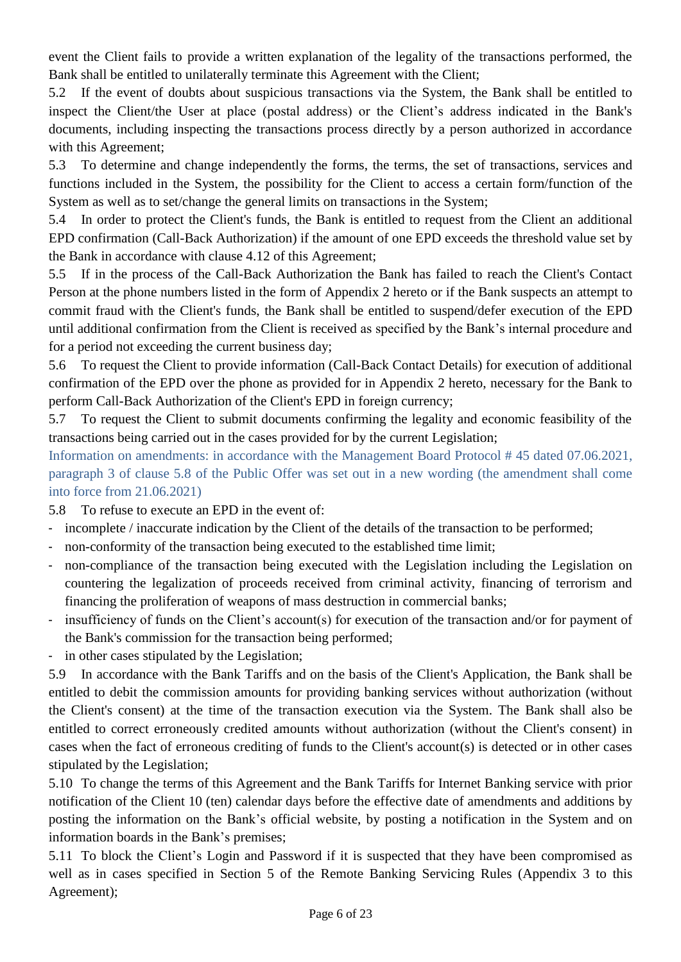event the Client fails to provide a written explanation of the legality of the transactions performed, the Bank shall be entitled to unilaterally terminate this Agreement with the Client;

5.2 If the event of doubts about suspicious transactions via the System, the Bank shall be entitled to inspect the Client/the User at place (postal address) or the Client's address indicated in the Bank's documents, including inspecting the transactions process directly by a person authorized in accordance with this Agreement;

5.3 To determine and change independently the forms, the terms, the set of transactions, services and functions included in the System, the possibility for the Client to access a certain form/function of the System as well as to set/change the general limits on transactions in the System;

5.4 In order to protect the Client's funds, the Bank is entitled to request from the Client an additional EPD confirmation (Call-Back Authorization) if the amount of one EPD exceeds the threshold value set by the Bank in accordance with clause 4.12 of this Agreement;

5.5 If in the process of the Call-Back Authorization the Bank has failed to reach the Client's Contact Person at the phone numbers listed in the form of Appendix 2 hereto or if the Bank suspects an attempt to commit fraud with the Client's funds, the Bank shall be entitled to suspend/defer execution of the EPD until additional confirmation from the Client is received as specified by the Bank's internal procedure and for a period not exceeding the current business day;

5.6 To request the Client to provide information (Call-Back Contact Details) for execution of additional confirmation of the EPD over the phone as provided for in Appendix 2 hereto, necessary for the Bank to perform Call-Back Authorization of the Client's EPD in foreign currency;

5.7 To request the Client to submit documents confirming the legality and economic feasibility of the transactions being carried out in the cases provided for by the current Legislation;

Information on amendments: in accordance with the Management Board Protocol # 45 dated 07.06.2021, paragraph 3 of clause 5.8 of the Public Offer was set out in a new wording (the amendment shall come into force from 21.06.2021)

5.8 To refuse to execute an EPD in the event of:

- incomplete / inaccurate indication by the Client of the details of the transaction to be performed;
- non-conformity of the transaction being executed to the established time limit;
- non-compliance of the transaction being executed with the Legislation including the Legislation on countering the legalization of proceeds received from criminal activity, financing of terrorism and financing the proliferation of weapons of mass destruction in commercial banks;
- insufficiency of funds on the Client's account(s) for execution of the transaction and/or for payment of the Bank's commission for the transaction being performed;
- in other cases stipulated by the Legislation;

5.9 In accordance with the Bank Tariffs and on the basis of the Client's Application, the Bank shall be entitled to debit the commission amounts for providing banking services without authorization (without the Client's consent) at the time of the transaction execution via the System. The Bank shall also be entitled to correct erroneously credited amounts without authorization (without the Client's consent) in cases when the fact of erroneous crediting of funds to the Client's account(s) is detected or in other cases stipulated by the Legislation;

5.10 To change the terms of this Agreement and the Bank Tariffs for Internet Banking service with prior notification of the Client 10 (ten) calendar days before the effective date of amendments and additions by posting the information on the Bank's official website, by posting a notification in the System and on information boards in the Bank's premises;

5.11 To block the Client's Login and Password if it is suspected that they have been compromised as well as in cases specified in Section 5 of the Remote Banking Servicing Rules (Appendix 3 to this Agreement);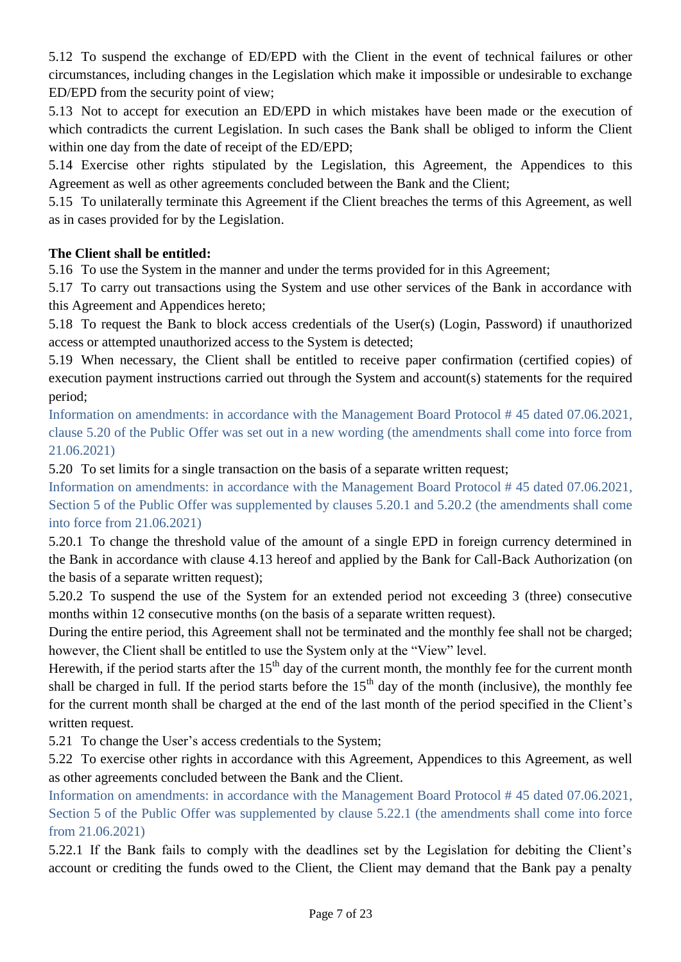5.12 To suspend the exchange of ED/EPD with the Client in the event of technical failures or other circumstances, including changes in the Legislation which make it impossible or undesirable to exchange ED/EPD from the security point of view;

5.13 Not to accept for execution an ED/EPD in which mistakes have been made or the execution of which contradicts the current Legislation. In such cases the Bank shall be obliged to inform the Client within one day from the date of receipt of the ED/EPD;

5.14 Exercise other rights stipulated by the Legislation, this Agreement, the Appendices to this Agreement as well as other agreements concluded between the Bank and the Client;

5.15 To unilaterally terminate this Agreement if the Client breaches the terms of this Agreement, as well as in cases provided for by the Legislation.

# **The Client shall be entitled:**

5.16 To use the System in the manner and under the terms provided for in this Agreement;

5.17 To carry out transactions using the System and use other services of the Bank in accordance with this Agreement and Appendices hereto;

5.18 To request the Bank to block access credentials of the User(s) (Login, Password) if unauthorized access or attempted unauthorized access to the System is detected;

5.19 When necessary, the Client shall be entitled to receive paper confirmation (certified copies) of execution payment instructions carried out through the System and account(s) statements for the required period;

Information on amendments: in accordance with the Management Board Protocol # 45 dated 07.06.2021, clause 5.20 of the Public Offer was set out in a new wording (the amendments shall come into force from 21.06.2021)

5.20 To set limits for a single transaction on the basis of a separate written request;

Information on amendments: in accordance with the Management Board Protocol # 45 dated 07.06.2021, Section 5 of the Public Offer was supplemented by clauses 5.20.1 and 5.20.2 (the amendments shall come into force from 21.06.2021)

5.20.1 To change the threshold value of the amount of a single EPD in foreign currency determined in the Bank in accordance with clause 4.13 hereof and applied by the Bank for Call-Back Authorization (on the basis of a separate written request);

5.20.2 To suspend the use of the System for an extended period not exceeding 3 (three) consecutive months within 12 consecutive months (on the basis of a separate written request).

During the entire period, this Agreement shall not be terminated and the monthly fee shall not be charged; however, the Client shall be entitled to use the System only at the "View" level.

Herewith, if the period starts after the  $15<sup>th</sup>$  day of the current month, the monthly fee for the current month shall be charged in full. If the period starts before the  $15<sup>th</sup>$  day of the month (inclusive), the monthly fee for the current month shall be charged at the end of the last month of the period specified in the Client's written request.

5.21 To change the User's access credentials to the System;

5.22 To exercise other rights in accordance with this Agreement, Appendices to this Agreement, as well as other agreements concluded between the Bank and the Client.

Information on amendments: in accordance with the Management Board Protocol # 45 dated 07.06.2021, Section 5 of the Public Offer was supplemented by clause 5.22.1 (the amendments shall come into force from 21.06.2021)

5.22.1 If the Bank fails to comply with the deadlines set by the Legislation for debiting the Client's account or crediting the funds owed to the Client, the Client may demand that the Bank pay a penalty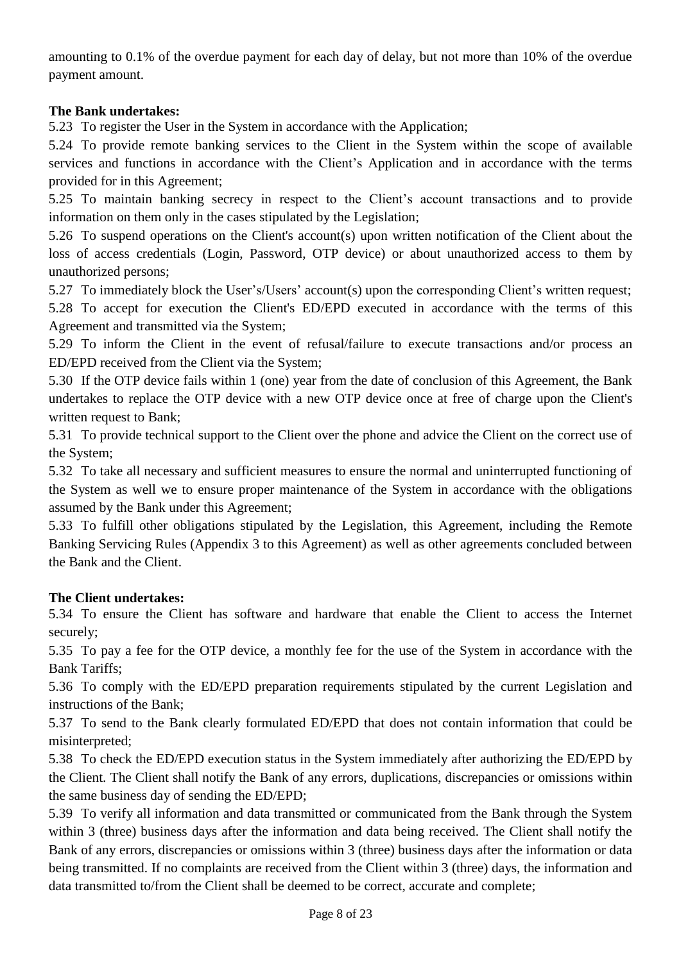amounting to 0.1% of the overdue payment for each day of delay, but not more than 10% of the overdue payment amount.

# **The Bank undertakes:**

5.23 To register the User in the System in accordance with the Application;

5.24 To provide remote banking services to the Client in the System within the scope of available services and functions in accordance with the Client's Application and in accordance with the terms provided for in this Agreement;

5.25 To maintain banking secrecy in respect to the Client's account transactions and to provide information on them only in the cases stipulated by the Legislation;

5.26 To suspend operations on the Client's account(s) upon written notification of the Client about the loss of access credentials (Login, Password, OTP device) or about unauthorized access to them by unauthorized persons;

5.27 To immediately block the User's/Users' account(s) upon the corresponding Client's written request; 5.28 To accept for execution the Client's ED/EPD executed in accordance with the terms of this Agreement and transmitted via the System;

5.29 To inform the Client in the event of refusal/failure to execute transactions and/or process an ED/EPD received from the Client via the System;

5.30 If the OTP device fails within 1 (one) year from the date of conclusion of this Agreement, the Bank undertakes to replace the OTP device with a new OTP device once at free of charge upon the Client's written request to Bank;

5.31 To provide technical support to the Client over the phone and advice the Client on the correct use of the System;

5.32 To take all necessary and sufficient measures to ensure the normal and uninterrupted functioning of the System as well we to ensure proper maintenance of the System in accordance with the obligations assumed by the Bank under this Agreement;

5.33 To fulfill other obligations stipulated by the Legislation, this Agreement, including the Remote Banking Servicing Rules (Appendix 3 to this Agreement) as well as other agreements concluded between the Bank and the Client.

# **The Client undertakes:**

5.34 To ensure the Client has software and hardware that enable the Client to access the Internet securely;

5.35 To pay a fee for the OTP device, a monthly fee for the use of the System in accordance with the Bank Tariffs;

5.36 To comply with the ED/EPD preparation requirements stipulated by the current Legislation and instructions of the Bank;

5.37 To send to the Bank clearly formulated ED/EPD that does not contain information that could be misinterpreted;

5.38 To check the ED/EPD execution status in the System immediately after authorizing the ED/EPD by the Client. The Client shall notify the Bank of any errors, duplications, discrepancies or omissions within the same business day of sending the ED/EPD;

5.39 To verify all information and data transmitted or communicated from the Bank through the System within 3 (three) business days after the information and data being received. The Client shall notify the Bank of any errors, discrepancies or omissions within 3 (three) business days after the information or data being transmitted. If no complaints are received from the Client within 3 (three) days, the information and data transmitted to/from the Client shall be deemed to be correct, accurate and complete;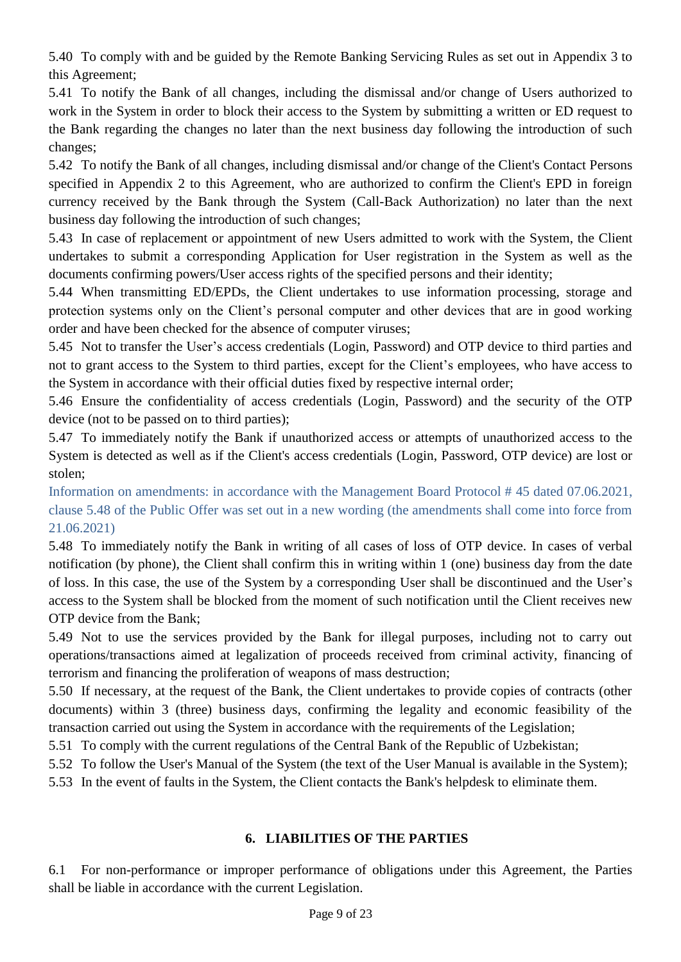5.40 To comply with and be guided by the Remote Banking Servicing Rules as set out in Appendix 3 to this Agreement;

5.41 To notify the Bank of all changes, including the dismissal and/or change of Users authorized to work in the System in order to block their access to the System by submitting a written or ED request to the Bank regarding the changes no later than the next business day following the introduction of such changes;

5.42 To notify the Bank of all changes, including dismissal and/or change of the Client's Contact Persons specified in Appendix 2 to this Agreement, who are authorized to confirm the Client's EPD in foreign currency received by the Bank through the System (Call-Back Authorization) no later than the next business day following the introduction of such changes;

5.43 In case of replacement or appointment of new Users admitted to work with the System, the Client undertakes to submit a corresponding Application for User registration in the System as well as the documents confirming powers/User access rights of the specified persons and their identity;

5.44 When transmitting ED/EPDs, the Client undertakes to use information processing, storage and protection systems only on the Client's personal computer and other devices that are in good working order and have been checked for the absence of computer viruses;

5.45 Not to transfer the User's access credentials (Login, Password) and OTP device to third parties and not to grant access to the System to third parties, except for the Client's employees, who have access to the System in accordance with their official duties fixed by respective internal order;

5.46 Ensure the confidentiality of access credentials (Login, Password) and the security of the OTP device (not to be passed on to third parties);

5.47 To immediately notify the Bank if unauthorized access or attempts of unauthorized access to the System is detected as well as if the Client's access credentials (Login, Password, OTP device) are lost or stolen;

Information on amendments: in accordance with the Management Board Protocol # 45 dated 07.06.2021, clause 5.48 of the Public Offer was set out in a new wording (the amendments shall come into force from 21.06.2021)

5.48 To immediately notify the Bank in writing of all cases of loss of OTP device. In cases of verbal notification (by phone), the Client shall confirm this in writing within 1 (one) business day from the date of loss. In this case, the use of the System by a corresponding User shall be discontinued and the User's access to the System shall be blocked from the moment of such notification until the Client receives new OTP device from the Bank;

5.49 Not to use the services provided by the Bank for illegal purposes, including not to carry out operations/transactions aimed at legalization of proceeds received from criminal activity, financing of terrorism and financing the proliferation of weapons of mass destruction;

5.50 If necessary, at the request of the Bank, the Client undertakes to provide copies of contracts (other documents) within 3 (three) business days, confirming the legality and economic feasibility of the transaction carried out using the System in accordance with the requirements of the Legislation;

5.51 To comply with the current regulations of the Central Bank of the Republic of Uzbekistan;

5.52 To follow the User's Manual of the System (the text of the User Manual is available in the System);

5.53 In the event of faults in the System, the Client contacts the Bank's helpdesk to eliminate them.

# **6. LIABILITIES OF THE PARTIES**

6.1 For non-performance or improper performance of obligations under this Agreement, the Parties shall be liable in accordance with the current Legislation.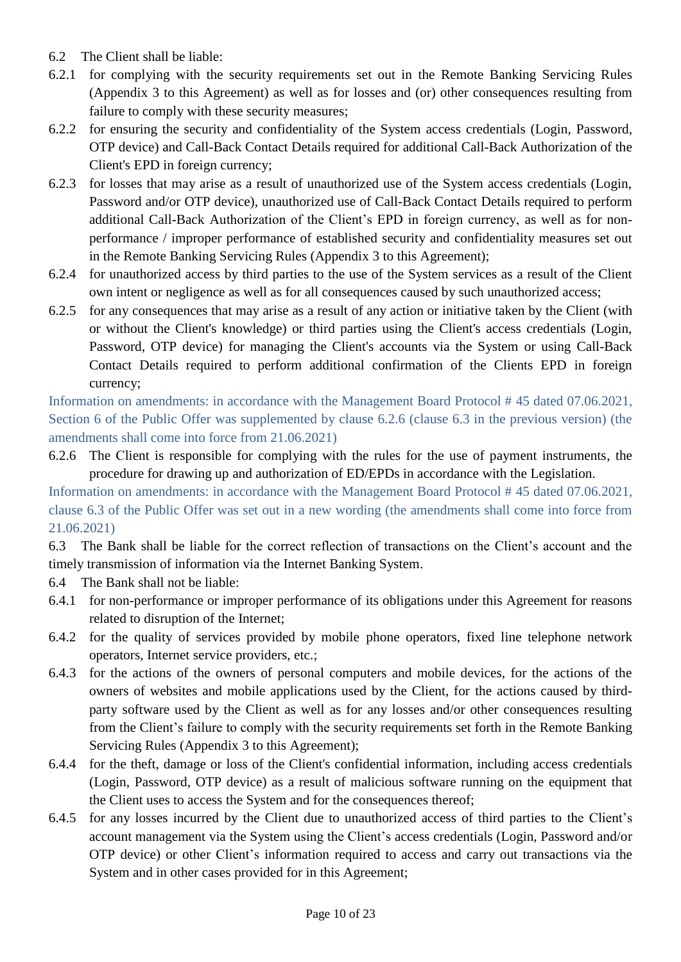- 6.2 The Client shall be liable:
- 6.2.1 for complying with the security requirements set out in the Remote Banking Servicing Rules (Appendix 3 to this Agreement) as well as for losses and (or) other consequences resulting from failure to comply with these security measures;
- 6.2.2 for ensuring the security and confidentiality of the System access credentials (Login, Password, OTP device) and Call-Back Contact Details required for additional Call-Back Authorization of the Client's EPD in foreign currency;
- 6.2.3 for losses that may arise as a result of unauthorized use of the System access credentials (Login, Password and/or OTP device), unauthorized use of Call-Back Contact Details required to perform additional Call-Back Authorization of the Client's EPD in foreign currency, as well as for nonperformance / improper performance of established security and confidentiality measures set out in the Remote Banking Servicing Rules (Appendix 3 to this Agreement);
- 6.2.4 for unauthorized access by third parties to the use of the System services as a result of the Client own intent or negligence as well as for all consequences caused by such unauthorized access;
- 6.2.5 for any consequences that may arise as a result of any action or initiative taken by the Client (with or without the Client's knowledge) or third parties using the Client's access credentials (Login, Password, OTP device) for managing the Client's accounts via the System or using Call-Back Contact Details required to perform additional confirmation of the Clients EPD in foreign currency;

Information on amendments: in accordance with the Management Board Protocol # 45 dated 07.06.2021, Section 6 of the Public Offer was supplemented by clause 6.2.6 (clause 6.3 in the previous version) (the amendments shall come into force from 21.06.2021)

6.2.6 The Сlient is responsible for complying with the rules for the use of payment instruments, the procedure for drawing up and authorization of ED/EPDs in accordance with the Legislation.

Information on amendments: in accordance with the Management Board Protocol # 45 dated 07.06.2021, clause 6.3 of the Public Offer was set out in a new wording (the amendments shall come into force from 21.06.2021)

6.3 The Bank shall be liable for the correct reflection of transactions on the Client's account and the timely transmission of information via the Internet Banking System.

- 6.4 The Bank shall not be liable:
- 6.4.1 for non-performance or improper performance of its obligations under this Agreement for reasons related to disruption of the Internet;
- 6.4.2 for the quality of services provided by mobile phone operators, fixed line telephone network operators, Internet service providers, etc.;
- 6.4.3 for the actions of the owners of personal computers and mobile devices, for the actions of the owners of websites and mobile applications used by the Client, for the actions caused by thirdparty software used by the Client as well as for any losses and/or other consequences resulting from the Client's failure to comply with the security requirements set forth in the Remote Banking Servicing Rules (Appendix 3 to this Agreement);
- 6.4.4 for the theft, damage or loss of the Client's confidential information, including access credentials (Login, Password, OTP device) as a result of malicious software running on the equipment that the Client uses to access the System and for the consequences thereof;
- 6.4.5 for any losses incurred by the Client due to unauthorized access of third parties to the Client's account management via the System using the Client's access credentials (Login, Password and/or OTP device) or other Client's information required to access and carry out transactions via the System and in other cases provided for in this Agreement;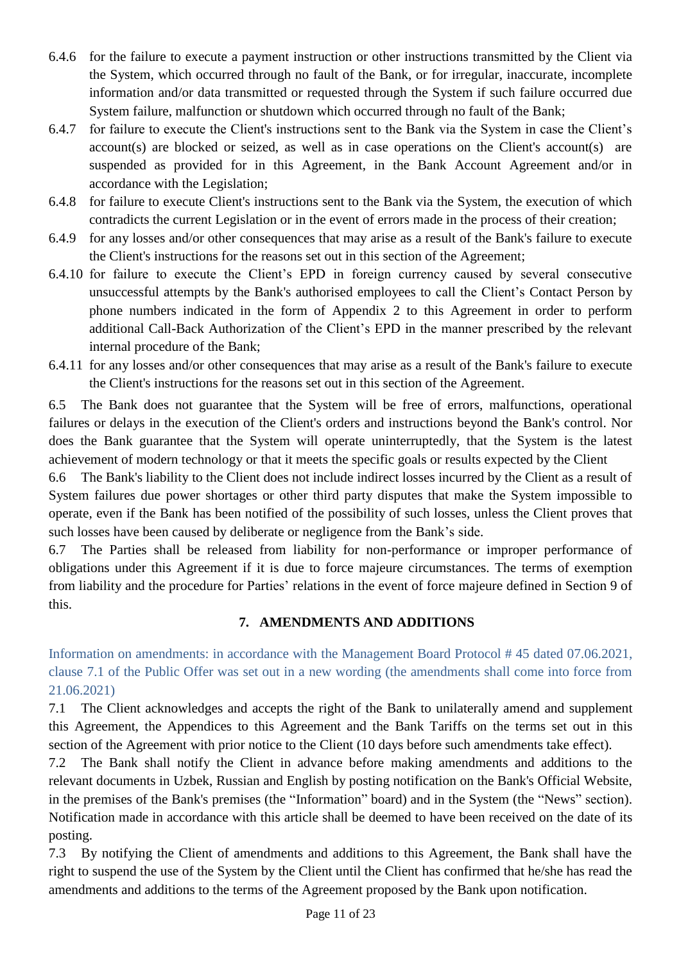- 6.4.6 for the failure to execute a payment instruction or other instructions transmitted by the Client via the System, which occurred through no fault of the Bank, or for irregular, inaccurate, incomplete information and/or data transmitted or requested through the System if such failure occurred due System failure, malfunction or shutdown which occurred through no fault of the Bank;
- 6.4.7 for failure to execute the Client's instructions sent to the Bank via the System in case the Client's account(s) are blocked or seized, as well as in case operations on the Client's account(s) are suspended as provided for in this Agreement, in the Bank Account Agreement and/or in accordance with the Legislation;
- 6.4.8 for failure to execute Client's instructions sent to the Bank via the System, the execution of which contradicts the current Legislation or in the event of errors made in the process of their creation;
- 6.4.9 for any losses and/or other consequences that may arise as a result of the Bank's failure to execute the Client's instructions for the reasons set out in this section of the Agreement;
- 6.4.10 for failure to execute the Client's EPD in foreign currency caused by several consecutive unsuccessful attempts by the Bank's authorised employees to call the Client's Contact Person by phone numbers indicated in the form of Appendix 2 to this Agreement in order to perform additional Call-Back Authorization of the Client's EPD in the manner prescribed by the relevant internal procedure of the Bank;
- 6.4.11 for any losses and/or other consequences that may arise as a result of the Bank's failure to execute the Client's instructions for the reasons set out in this section of the Agreement.

6.5 The Bank does not guarantee that the System will be free of errors, malfunctions, operational failures or delays in the execution of the Client's orders and instructions beyond the Bank's control. Nor does the Bank guarantee that the System will operate uninterruptedly, that the System is the latest achievement of modern technology or that it meets the specific goals or results expected by the Client

6.6 The Bank's liability to the Client does not include indirect losses incurred by the Client as a result of System failures due power shortages or other third party disputes that make the System impossible to operate, even if the Bank has been notified of the possibility of such losses, unless the Client proves that such losses have been caused by deliberate or negligence from the Bank's side.

6.7 The Parties shall be released from liability for non-performance or improper performance of obligations under this Agreement if it is due to force majeure circumstances. The terms of exemption from liability and the procedure for Parties' relations in the event of force majeure defined in Section 9 of this.

# **7. AMENDMENTS AND ADDITIONS**

Information on amendments: in accordance with the Management Board Protocol # 45 dated 07.06.2021, clause 7.1 of the Public Offer was set out in a new wording (the amendments shall come into force from 21.06.2021)

7.1 The Client acknowledges and accepts the right of the Bank to unilaterally amend and supplement this Agreement, the Appendices to this Agreement and the Bank Tariffs on the terms set out in this section of the Agreement with prior notice to the Client (10 days before such amendments take effect).

7.2 The Bank shall notify the Client in advance before making amendments and additions to the relevant documents in Uzbek, Russian and English by posting notification on the Bank's Official Website, in the premises of the Bank's premises (the "Information" board) and in the System (the "News" section). Notification made in accordance with this article shall be deemed to have been received on the date of its posting.

7.3 By notifying the Client of amendments and additions to this Agreement, the Bank shall have the right to suspend the use of the System by the Client until the Client has confirmed that he/she has read the amendments and additions to the terms of the Agreement proposed by the Bank upon notification.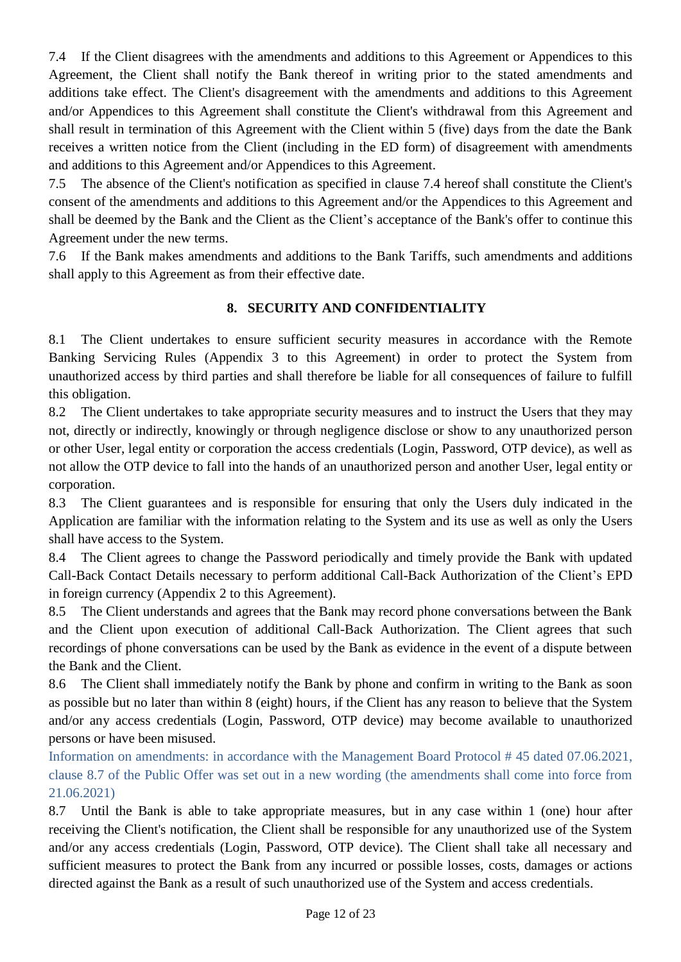7.4 If the Client disagrees with the amendments and additions to this Agreement or Appendices to this Agreement, the Client shall notify the Bank thereof in writing prior to the stated amendments and additions take effect. The Client's disagreement with the amendments and additions to this Agreement and/or Appendices to this Agreement shall constitute the Client's withdrawal from this Agreement and shall result in termination of this Agreement with the Client within 5 (five) days from the date the Bank receives a written notice from the Client (including in the ED form) of disagreement with amendments and additions to this Agreement and/or Appendices to this Agreement.

7.5 The absence of the Client's notification as specified in clause 7.4 hereof shall constitute the Client's consent of the amendments and additions to this Agreement and/or the Appendices to this Agreement and shall be deemed by the Bank and the Client as the Client's acceptance of the Bank's offer to continue this Agreement under the new terms.

7.6 If the Bank makes amendments and additions to the Bank Tariffs, such amendments and additions shall apply to this Agreement as from their effective date.

# **8. SECURITY AND CONFIDENTIALITY**

8.1 The Client undertakes to ensure sufficient security measures in accordance with the Remote Banking Servicing Rules (Appendix 3 to this Agreement) in order to protect the System from unauthorized access by third parties and shall therefore be liable for all consequences of failure to fulfill this obligation.

8.2 The Client undertakes to take appropriate security measures and to instruct the Users that they may not, directly or indirectly, knowingly or through negligence disclose or show to any unauthorized person or other User, legal entity or corporation the access credentials (Login, Password, OTP device), as well as not allow the OTP device to fall into the hands of an unauthorized person and another User, legal entity or corporation.

8.3 The Client guarantees and is responsible for ensuring that only the Users duly indicated in the Application are familiar with the information relating to the System and its use as well as only the Users shall have access to the System.

8.4 The Client agrees to change the Password periodically and timely provide the Bank with updated Call-Back Contact Details necessary to perform additional Call-Back Authorization of the Client's EPD in foreign currency (Appendix 2 to this Agreement).

8.5 The Client understands and agrees that the Bank may record phone conversations between the Bank and the Client upon execution of additional Call-Back Authorization. The Client agrees that such recordings of phone conversations can be used by the Bank as evidence in the event of a dispute between the Bank and the Client.

8.6 The Client shall immediately notify the Bank by phone and confirm in writing to the Bank as soon as possible but no later than within 8 (eight) hours, if the Client has any reason to believe that the System and/or any access credentials (Login, Password, OTP device) may become available to unauthorized persons or have been misused.

Information on amendments: in accordance with the Management Board Protocol # 45 dated 07.06.2021, clause 8.7 of the Public Offer was set out in a new wording (the amendments shall come into force from 21.06.2021)

8.7 Until the Bank is able to take appropriate measures, but in any case within 1 (one) hour after receiving the Client's notification, the Client shall be responsible for any unauthorized use of the System and/or any access credentials (Login, Password, OTP device). The Client shall take all necessary and sufficient measures to protect the Bank from any incurred or possible losses, costs, damages or actions directed against the Bank as a result of such unauthorized use of the System and access credentials.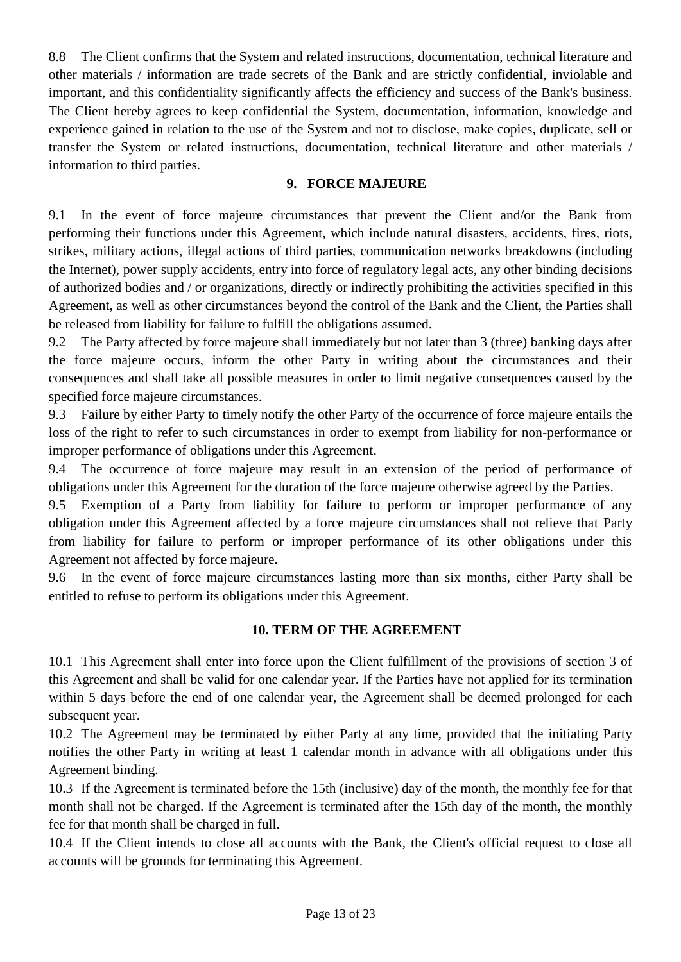8.8 The Client confirms that the System and related instructions, documentation, technical literature and other materials / information are trade secrets of the Bank and are strictly confidential, inviolable and important, and this confidentiality significantly affects the efficiency and success of the Bank's business. The Client hereby agrees to keep confidential the System, documentation, information, knowledge and experience gained in relation to the use of the System and not to disclose, make copies, duplicate, sell or transfer the System or related instructions, documentation, technical literature and other materials / information to third parties.

## **9. FORCE MAJEURE**

9.1 In the event of force majeure circumstances that prevent the Client and/or the Bank from performing their functions under this Agreement, which include natural disasters, accidents, fires, riots, strikes, military actions, illegal actions of third parties, communication networks breakdowns (including the Internet), power supply accidents, entry into force of regulatory legal acts, any other binding decisions of authorized bodies and / or organizations, directly or indirectly prohibiting the activities specified in this Agreement, as well as other circumstances beyond the control of the Bank and the Client, the Parties shall be released from liability for failure to fulfill the obligations assumed.

9.2 The Party affected by force majeure shall immediately but not later than 3 (three) banking days after the force majeure occurs, inform the other Party in writing about the circumstances and their consequences and shall take all possible measures in order to limit negative consequences caused by the specified force majeure circumstances.

9.3 Failure by either Party to timely notify the other Party of the occurrence of force majeure entails the loss of the right to refer to such circumstances in order to exempt from liability for non-performance or improper performance of obligations under this Agreement.

9.4 The occurrence of force majeure may result in an extension of the period of performance of obligations under this Agreement for the duration of the force majeure otherwise agreed by the Parties.

9.5 Exemption of a Party from liability for failure to perform or improper performance of any obligation under this Agreement affected by a force majeure circumstances shall not relieve that Party from liability for failure to perform or improper performance of its other obligations under this Agreement not affected by force majeure.

9.6 In the event of force majeure circumstances lasting more than six months, either Party shall be entitled to refuse to perform its obligations under this Agreement.

## **10. TERM OF THE AGREEMENT**

10.1 This Agreement shall enter into force upon the Client fulfillment of the provisions of section 3 of this Agreement and shall be valid for one calendar year. If the Parties have not applied for its termination within 5 days before the end of one calendar year, the Agreement shall be deemed prolonged for each subsequent year.

10.2 The Agreement may be terminated by either Party at any time, provided that the initiating Party notifies the other Party in writing at least 1 calendar month in advance with all obligations under this Agreement binding.

10.3 If the Agreement is terminated before the 15th (inclusive) day of the month, the monthly fee for that month shall not be charged. If the Agreement is terminated after the 15th day of the month, the monthly fee for that month shall be charged in full.

10.4 If the Client intends to close all accounts with the Bank, the Client's official request to close all accounts will be grounds for terminating this Agreement.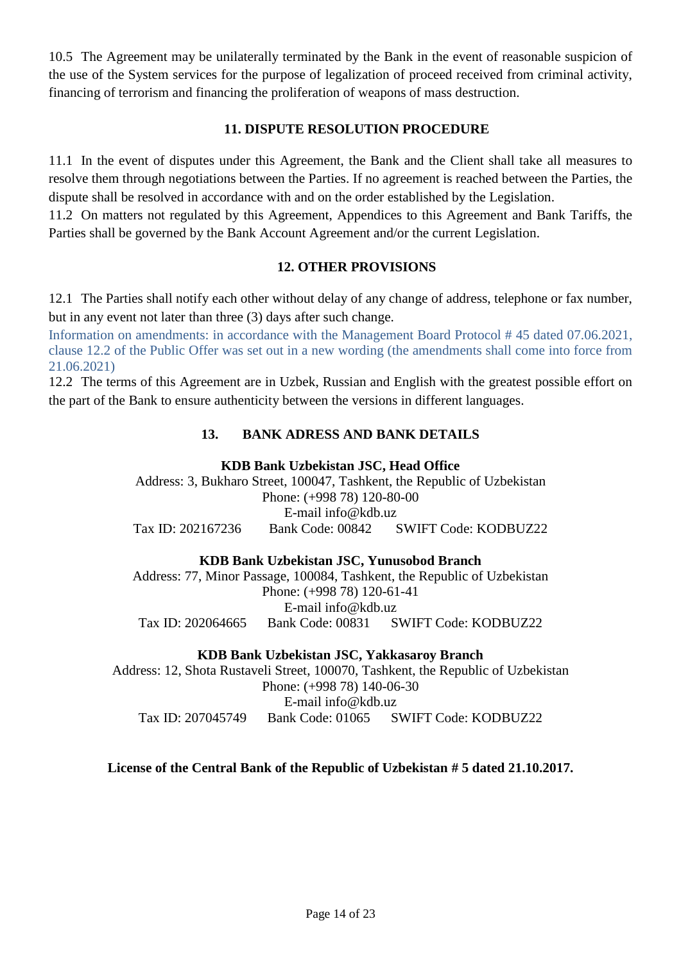10.5 The Agreement may be unilaterally terminated by the Bank in the event of reasonable suspicion of the use of the System services for the purpose of legalization of proceed received from criminal activity, financing of terrorism and financing the proliferation of weapons of mass destruction.

## **11. DISPUTE RESOLUTION PROCEDURE**

11.1 In the event of disputes under this Agreement, the Bank and the Client shall take all measures to resolve them through negotiations between the Parties. If no agreement is reached between the Parties, the dispute shall be resolved in accordance with and on the order established by the Legislation.

11.2 On matters not regulated by this Agreement, Appendices to this Agreement and Bank Tariffs, the Parties shall be governed by the Bank Account Agreement and/or the current Legislation.

# **12. OTHER PROVISIONS**

12.1 The Parties shall notify each other without delay of any change of address, telephone or fax number, but in any event not later than three (3) days after such change.

Information on amendments: in accordance with the Management Board Protocol # 45 dated 07.06.2021, clause 12.2 of the Public Offer was set out in a new wording (the amendments shall come into force from 21.06.2021)

12.2 The terms of this Agreement are in Uzbek, Russian and English with the greatest possible effort on the part of the Bank to ensure authenticity between the versions in different languages.

# **13. BANK ADRESS AND BANK DETAILS**

#### **KDB Bank Uzbekistan JSC, Head Office**

Address: 3, Bukharo Street, 100047, Tashkent, the Republic of Uzbekistan Phone: (+998 78) 120-80-00 E-mail info@kdb.uz Tax ID: 202167236 Bank Code: 00842 SWIFT Code: KODBUZ22

## **KDB Bank Uzbekistan JSC, Yunusobod Branch**

Address: 77, Minor Passage, 100084, Tashkent, the Republic of Uzbekistan Phone: (+998 78) 120-61-41 E-mail info@kdb.uz Tax ID: 202064665 Bank Code: 00831 SWIFT Code: KODBUZ22

**KDB Bank Uzbekistan JSC, Yakkasaroy Branch**

Address: 12, Shota Rustaveli Street, 100070, Tashkent, the Republic of Uzbekistan Phone: (+998 78) 140-06-30 E-mail info@kdb.uz Tax ID: 207045749 Bank Code: 01065 SWIFT Code: KODBUZ22

## **License of the Central Bank of the Republic of Uzbekistan # 5 dated 21.10.2017.**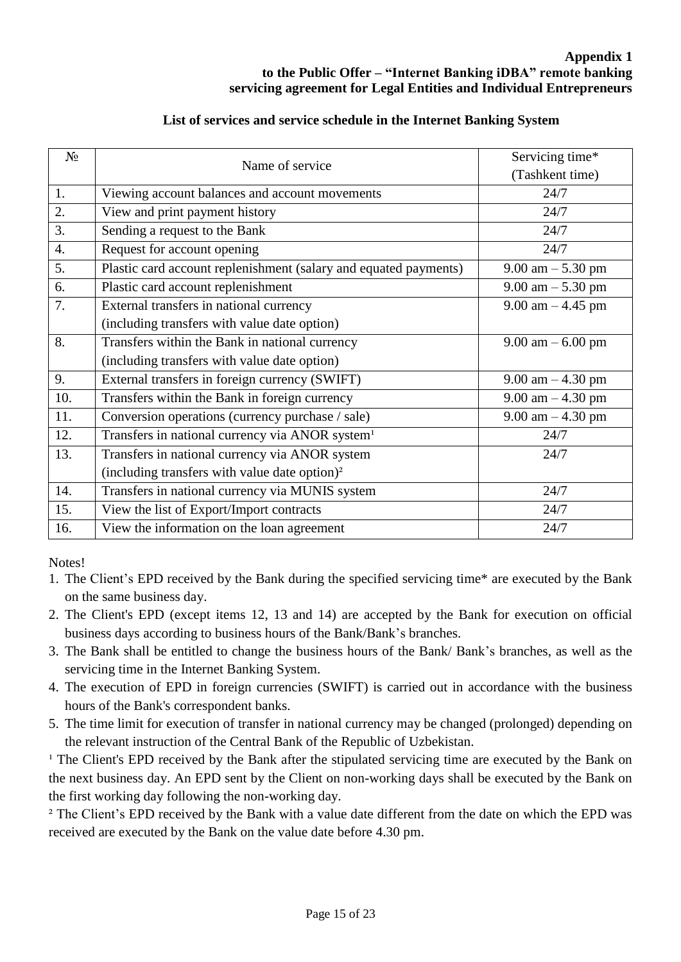| List of services and service schedule in the Internet Banking System |  |  |
|----------------------------------------------------------------------|--|--|
|                                                                      |  |  |

| No               |                                                                  | Servicing time*                     |  |  |  |
|------------------|------------------------------------------------------------------|-------------------------------------|--|--|--|
|                  | Name of service                                                  | (Tashkent time)                     |  |  |  |
| 1.               | Viewing account balances and account movements                   | 24/7                                |  |  |  |
| 2.               | View and print payment history                                   | 24/7                                |  |  |  |
| 3.               | Sending a request to the Bank                                    | 24/7                                |  |  |  |
| $\overline{4}$ . | Request for account opening                                      | 24/7                                |  |  |  |
| 5.               | Plastic card account replenishment (salary and equated payments) | $9.00 \text{ am} - 5.30 \text{ pm}$ |  |  |  |
| 6.               | Plastic card account replenishment                               | $9.00 \text{ am} - 5.30 \text{ pm}$ |  |  |  |
| 7.               | External transfers in national currency                          | $9.00$ am $-4.45$ pm                |  |  |  |
|                  | (including transfers with value date option)                     |                                     |  |  |  |
| 8.               | Transfers within the Bank in national currency                   | $9.00 \text{ am} - 6.00 \text{ pm}$ |  |  |  |
|                  | (including transfers with value date option)                     |                                     |  |  |  |
| 9.               | External transfers in foreign currency (SWIFT)                   | 9.00 am $-4.30$ pm                  |  |  |  |
| 10.              | Transfers within the Bank in foreign currency                    | $9.00$ am $-4.30$ pm                |  |  |  |
| 11.              | Conversion operations (currency purchase / sale)                 | $9.00$ am $-4.30$ pm                |  |  |  |
| 12.              | Transfers in national currency via ANOR system <sup>1</sup>      | 24/7                                |  |  |  |
| 13.              | Transfers in national currency via ANOR system                   | 24/7                                |  |  |  |
|                  | (including transfers with value date option) <sup>2</sup>        |                                     |  |  |  |
| 14.              | Transfers in national currency via MUNIS system                  | 24/7                                |  |  |  |
| 15.              | View the list of Export/Import contracts                         | 24/7                                |  |  |  |
| 16.              | View the information on the loan agreement                       | 24/7                                |  |  |  |

Notes!

- 1. The Client's EPD received by the Bank during the specified servicing time\* are executed by the Bank on the same business day.
- 2. The Client's EPD (except items 12, 13 and 14) are accepted by the Bank for execution on official business days according to business hours of the Bank/Bank's branches.
- 3. The Bank shall be entitled to change the business hours of the Bank/ Bank's branches, as well as the servicing time in the Internet Banking System.
- 4. The execution of EPD in foreign currencies (SWIFT) is carried out in accordance with the business hours of the Bank's correspondent banks.
- 5. The time limit for execution of transfer in national currency may be changed (prolonged) depending on the relevant instruction of the Central Bank of the Republic of Uzbekistan.

<sup>1</sup> The Client's EPD received by the Bank after the stipulated servicing time are executed by the Bank on the next business day. An EPD sent by the Client on non-working days shall be executed by the Bank on the first working day following the non-working day.

<sup>2</sup> The Client's EPD received by the Bank with a value date different from the date on which the EPD was received are executed by the Bank on the value date before 4.30 pm.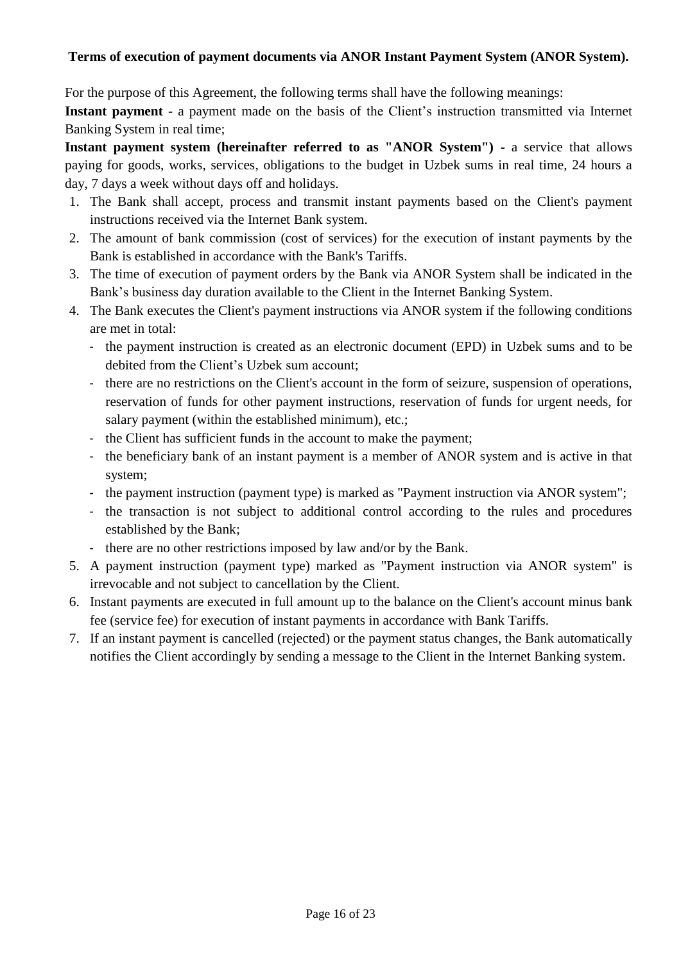## **Terms of execution of payment documents via ANOR Instant Payment System (ANOR System).**

For the purpose of this Agreement, the following terms shall have the following meanings:

**Instant payment** - a payment made on the basis of the Client's instruction transmitted via Internet Banking System in real time;

**Instant payment system (hereinafter referred to as "ANOR System") -** a service that allows paying for goods, works, services, obligations to the budget in Uzbek sums in real time, 24 hours a day, 7 days a week without days off and holidays.

- 1. The Bank shall accept, process and transmit instant payments based on the Client's payment instructions received via the Internet Bank system.
- 2. The amount of bank commission (cost of services) for the execution of instant payments by the Bank is established in accordance with the Bank's Tariffs.
- 3. The time of execution of payment orders by the Bank via ANOR System shall be indicated in the Bank's business day duration available to the Client in the Internet Banking System.
- 4. The Bank executes the Client's payment instructions via ANOR system if the following conditions are met in total:
	- the payment instruction is created as an electronic document (EPD) in Uzbek sums and to be debited from the Client's Uzbek sum account;
	- there are no restrictions on the Client's account in the form of seizure, suspension of operations, reservation of funds for other payment instructions, reservation of funds for urgent needs, for salary payment (within the established minimum), etc.;
	- the Client has sufficient funds in the account to make the payment;
	- the beneficiary bank of an instant payment is a member of ANOR system and is active in that system;
	- the payment instruction (payment type) is marked as "Payment instruction via ANOR system";
	- the transaction is not subject to additional control according to the rules and procedures established by the Bank;
	- there are no other restrictions imposed by law and/or by the Bank.
- 5. A payment instruction (payment type) marked as "Payment instruction via ANOR system" is irrevocable and not subject to cancellation by the Client.
- 6. Instant payments are executed in full amount up to the balance on the Client's account minus bank fee (service fee) for execution of instant payments in accordance with Bank Tariffs.
- 7. If an instant payment is cancelled (rejected) or the payment status changes, the Bank automatically notifies the Client accordingly by sending a message to the Client in the Internet Banking system.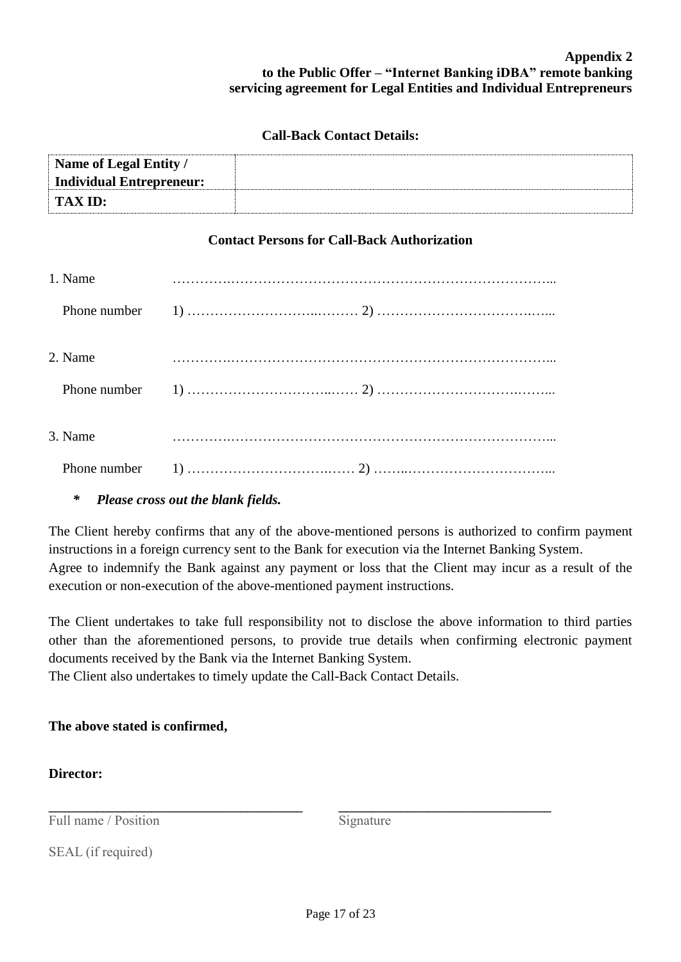#### **Appendix 2 to the Public Offer – "Internet Banking iDBA" remote banking servicing agreement for Legal Entities and Individual Entrepreneurs**

#### **Call-Back Contact Details:**

| Name of Legal Entity /   |  |
|--------------------------|--|
| Individual Entrepreneur: |  |
| <b>TAX ID:</b>           |  |

## **Contact Persons for Call-Back Authorization**

| 1. Name |  |
|---------|--|
|         |  |
|         |  |
| 2. Name |  |
|         |  |
|         |  |
| 3. Name |  |
|         |  |

## *\* Please cross out the blank fields.*

The Client hereby confirms that any of the above-mentioned persons is authorized to confirm payment instructions in a foreign currency sent to the Bank for execution via the Internet Banking System. Agree to indemnify the Bank against any payment or loss that the Client may incur as a result of the execution or non-execution of the above-mentioned payment instructions.

The Client undertakes to take full responsibility not to disclose the above information to third parties other than the aforementioned persons, to provide true details when confirming electronic payment documents received by the Bank via the Internet Banking System.

The Client also undertakes to timely update the Call-Back Contact Details.

# **The above stated is confirmed,**

**\_\_\_\_\_\_\_\_\_\_\_\_\_\_\_\_\_\_\_\_\_\_\_\_\_\_\_\_\_\_\_\_\_\_\_\_\_** 

## **Director:**

Full name / Position

Signature

**\_\_\_\_\_\_\_\_\_\_\_\_\_\_\_\_\_\_\_\_\_\_\_\_\_\_\_\_\_\_\_** 

SEAL (if required)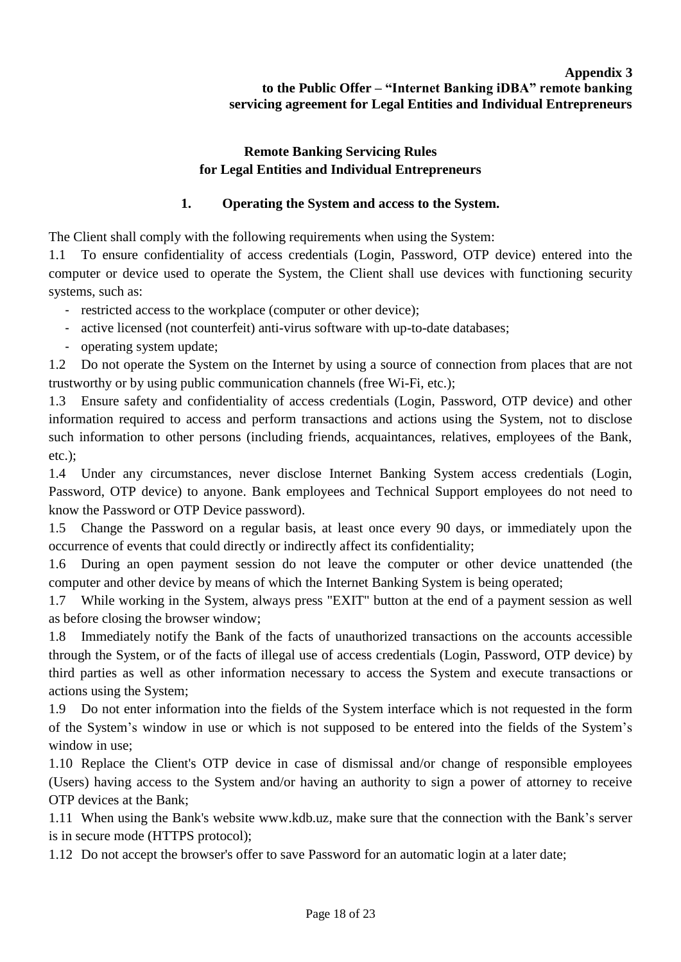# **Remote Banking Servicing Rules for Legal Entities and Individual Entrepreneurs**

# **1. Operating the System and access to the System.**

The Client shall comply with the following requirements when using the System:

1.1 To ensure confidentiality of access credentials (Login, Password, OTP device) entered into the computer or device used to operate the System, the Client shall use devices with functioning security systems, such as:

- restricted access to the workplace (computer or other device);

- active licensed (not counterfeit) anti-virus software with up-to-date databases;
- operating system update;

1.2 Do not operate the System on the Internet by using a source of connection from places that are not trustworthy or by using public communication channels (free Wi-Fi, etc.);

1.3 Ensure safety and confidentiality of access credentials (Login, Password, OTP device) and other information required to access and perform transactions and actions using the System, not to disclose such information to other persons (including friends, acquaintances, relatives, employees of the Bank, etc.);

1.4 Under any circumstances, never disclose Internet Banking System access credentials (Login, Password, OTP device) to anyone. Bank employees and Technical Support employees do not need to know the Password or OTP Device password).

1.5 Change the Password on a regular basis, at least once every 90 days, or immediately upon the occurrence of events that could directly or indirectly affect its confidentiality;

1.6 During an open payment session do not leave the computer or other device unattended (the computer and other device by means of which the Internet Banking System is being operated;

1.7 While working in the System, always press "EXIT" button at the end of a payment session as well as before closing the browser window;

1.8 Immediately notify the Bank of the facts of unauthorized transactions on the accounts accessible through the System, or of the facts of illegal use of access credentials (Login, Password, OTP device) by third parties as well as other information necessary to access the System and execute transactions or actions using the System;

1.9 Do not enter information into the fields of the System interface which is not requested in the form of the System's window in use or which is not supposed to be entered into the fields of the System's window in use;

1.10 Replace the Client's OTP device in case of dismissal and/or change of responsible employees (Users) having access to the System and/or having an authority to sign a power of attorney to receive OTP devices at the Bank;

1.11 When using the Bank's website www.kdb.uz, make sure that the connection with the Bank's server is in secure mode (HTTPS protocol);

1.12 Do not accept the browser's offer to save Password for an automatic login at a later date;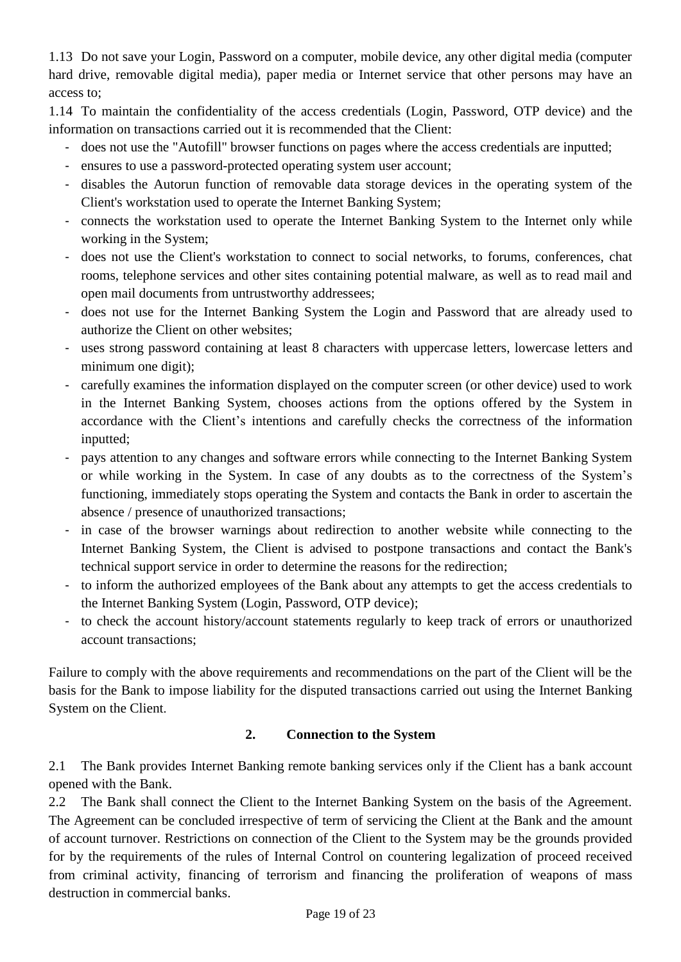1.13 Do not save your Login, Password on a computer, mobile device, any other digital media (computer hard drive, removable digital media), paper media or Internet service that other persons may have an access to;

1.14 To maintain the confidentiality of the access credentials (Login, Password, OTP device) and the information on transactions carried out it is recommended that the Client:

- does not use the "Autofill" browser functions on pages where the access credentials are inputted;
- ensures to use a password-protected operating system user account;
- disables the Autorun function of removable data storage devices in the operating system of the Client's workstation used to operate the Internet Banking System;
- connects the workstation used to operate the Internet Banking System to the Internet only while working in the System;
- does not use the Client's workstation to connect to social networks, to forums, conferences, chat rooms, telephone services and other sites containing potential malware, as well as to read mail and open mail documents from untrustworthy addressees;
- does not use for the Internet Banking System the Login and Password that are already used to authorize the Client on other websites;
- uses strong password containing at least 8 characters with uppercase letters, lowercase letters and minimum one digit);
- carefully examines the information displayed on the computer screen (or other device) used to work in the Internet Banking System, chooses actions from the options offered by the System in accordance with the Client's intentions and carefully checks the correctness of the information inputted;
- pays attention to any changes and software errors while connecting to the Internet Banking System or while working in the System. In case of any doubts as to the correctness of the System's functioning, immediately stops operating the System and contacts the Bank in order to ascertain the absence / presence of unauthorized transactions;
- in case of the browser warnings about redirection to another website while connecting to the Internet Banking System, the Client is advised to postpone transactions and contact the Bank's technical support service in order to determine the reasons for the redirection;
- to inform the authorized employees of the Bank about any attempts to get the access credentials to the Internet Banking System (Login, Password, OTP device);
- to check the account history/account statements regularly to keep track of errors or unauthorized account transactions;

Failure to comply with the above requirements and recommendations on the part of the Client will be the basis for the Bank to impose liability for the disputed transactions carried out using the Internet Banking System on the Client.

# **2. Connection to the System**

2.1 The Bank provides Internet Banking remote banking services only if the Client has a bank account opened with the Bank.

2.2 The Bank shall connect the Client to the Internet Banking System on the basis of the Agreement. The Agreement can be concluded irrespective of term of servicing the Client at the Bank and the amount of account turnover. Restrictions on connection of the Client to the System may be the grounds provided for by the requirements of the rules of Internal Control on countering legalization of proceed received from criminal activity, financing of terrorism and financing the proliferation of weapons of mass destruction in commercial banks.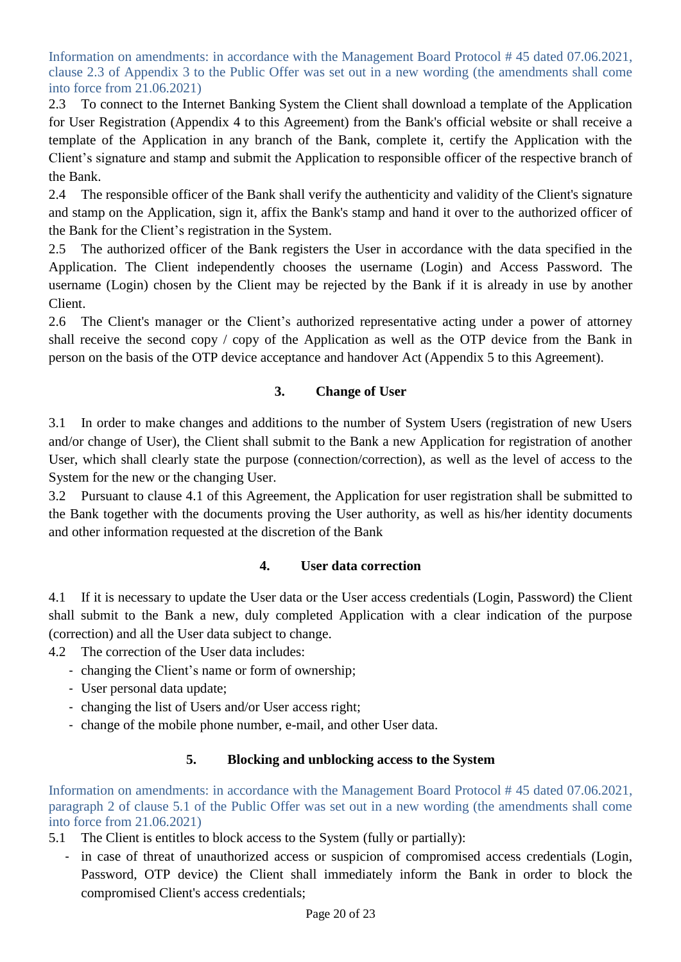Information on amendments: in accordance with the Management Board Protocol # 45 dated 07.06.2021, clause 2.3 of Appendix 3 to the Public Offer was set out in a new wording (the amendments shall come into force from 21.06.2021)

2.3 To connect to the Internet Banking System the Client shall download a template of the Application for User Registration (Appendix 4 to this Agreement) from the Bank's official website or shall receive a template of the Application in any branch of the Bank, complete it, certify the Application with the Client's signature and stamp and submit the Application to responsible officer of the respective branch of the Bank.

2.4 The responsible officer of the Bank shall verify the authenticity and validity of the Client's signature and stamp on the Application, sign it, affix the Bank's stamp and hand it over to the authorized officer of the Bank for the Client's registration in the System.

2.5 The authorized officer of the Bank registers the User in accordance with the data specified in the Application. The Client independently chooses the username (Login) and Access Password. The username (Login) chosen by the Client may be rejected by the Bank if it is already in use by another Client.

2.6 The Client's manager or the Client's authorized representative acting under a power of attorney shall receive the second copy / copy of the Application as well as the OTP device from the Bank in person on the basis of the OTP device acceptance and handover Act (Appendix 5 to this Agreement).

# **3. Change of User**

3.1 In order to make changes and additions to the number of System Users (registration of new Users and/or change of User), the Client shall submit to the Bank a new Application for registration of another User, which shall clearly state the purpose (connection/correction), as well as the level of access to the System for the new or the changing User.

3.2 Pursuant to clause 4.1 of this Agreement, the Application for user registration shall be submitted to the Bank together with the documents proving the User authority, as well as his/her identity documents and other information requested at the discretion of the Bank

# **4. User data correction**

4.1 If it is necessary to update the User data or the User access credentials (Login, Password) the Client shall submit to the Bank a new, duly completed Application with a clear indication of the purpose (correction) and all the User data subject to change.

4.2 The correction of the User data includes:

- changing the Client's name or form of ownership;
- User personal data update;
- changing the list of Users and/or User access right;
- change of the mobile phone number, e-mail, and other User data.

# **5. Blocking and unblocking access to the System**

Information on amendments: in accordance with the Management Board Protocol # 45 dated 07.06.2021, paragraph 2 of clause 5.1 of the Public Offer was set out in a new wording (the amendments shall come into force from 21.06.2021)

5.1 The Client is entitles to block access to the System (fully or partially):

in case of threat of unauthorized access or suspicion of compromised access credentials (Login, Password, OTP device) the Client shall immediately inform the Bank in order to block the compromised Client's access credentials;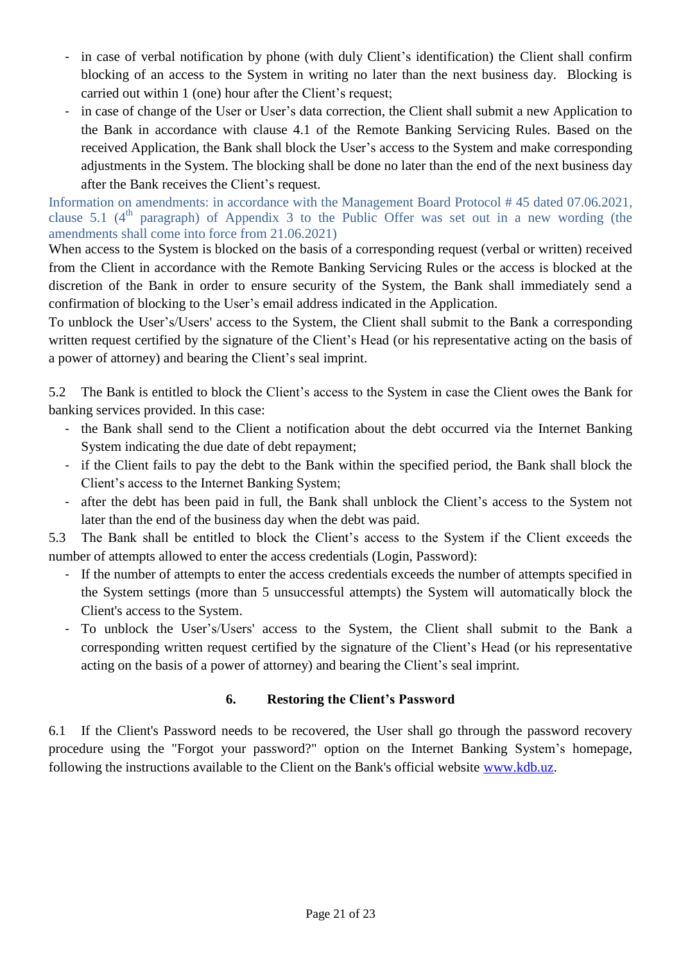- in case of verbal notification by phone (with duly Client's identification) the Client shall confirm blocking of an access to the System in writing no later than the next business day. Blocking is carried out within 1 (one) hour after the Client's request;
- in case of change of the User or User's data correction, the Client shall submit a new Application to the Bank in accordance with clause 4.1 of the Remote Banking Servicing Rules. Based on the received Application, the Bank shall block the User's access to the System and make corresponding adjustments in the System. The blocking shall be done no later than the end of the next business day after the Bank receives the Client's request.

Information on amendments: in accordance with the Management Board Protocol # 45 dated 07.06.2021, clause 5.1 ( $4<sup>th</sup>$  paragraph) of Appendix 3 to the Public Offer was set out in a new wording (the amendments shall come into force from 21.06.2021)

When access to the System is blocked on the basis of a corresponding request (verbal or written) received from the Client in accordance with the Remote Banking Servicing Rules or the access is blocked at the discretion of the Bank in order to ensure security of the System, the Bank shall immediately send a confirmation of blocking to the User's email address indicated in the Application.

To unblock the User's/Users' access to the System, the Client shall submit to the Bank a corresponding written request certified by the signature of the Client's Head (or his representative acting on the basis of a power of attorney) and bearing the Client's seal imprint.

5.2 The Bank is entitled to block the Client's access to the System in case the Client owes the Bank for banking services provided. In this case:

- the Bank shall send to the Client a notification about the debt occurred via the Internet Banking System indicating the due date of debt repayment;
- if the Client fails to pay the debt to the Bank within the specified period, the Bank shall block the Client's access to the Internet Banking System;
- after the debt has been paid in full, the Bank shall unblock the Client's access to the System not later than the end of the business day when the debt was paid.

5.3 The Bank shall be entitled to block the Client's access to the System if the Client exceeds the number of attempts allowed to enter the access credentials (Login, Password):

- If the number of attempts to enter the access credentials exceeds the number of attempts specified in the System settings (more than 5 unsuccessful attempts) the System will automatically block the Client's access to the System.
- To unblock the User's/Users' access to the System, the Client shall submit to the Bank a corresponding written request certified by the signature of the Client's Head (or his representative acting on the basis of a power of attorney) and bearing the Client's seal imprint.

## **6. Restoring the Client's Password**

6.1 If the Client's Password needs to be recovered, the User shall go through the password recovery procedure using the "Forgot your password?" option on the Internet Banking System's homepage, following the instructions available to the Client on the Bank's official website [www.kdb.uz.](http://www.kdb.uz/)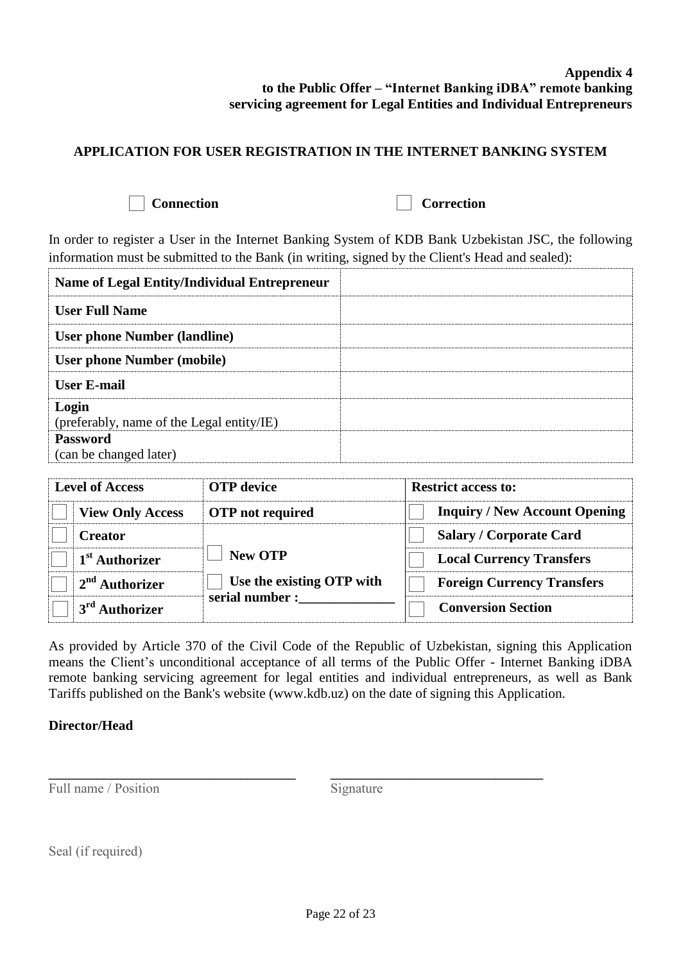#### **Appendix 4 to the Public Offer – "Internet Banking iDBA" remote banking servicing agreement for Legal Entities and Individual Entrepreneurs**

### **APPLICATION FOR USER REGISTRATION IN THE INTERNET BANKING SYSTEM**

**Connection** Correction

In order to register a User in the Internet Banking System of KDB Bank Uzbekistan JSC, the following information must be submitted to the Bank (in writing, signed by the Client's Head and sealed):

| <b>Name of Legal Entity/Individual Entrepreneur</b> |  |
|-----------------------------------------------------|--|
| <b>User Full Name</b>                               |  |
| <b>User phone Number (landline)</b>                 |  |
| <b>User phone Number (mobile)</b>                   |  |
| <b>User E-mail</b>                                  |  |
| Login<br>(preferably, name of the Legal entity/IE)  |  |
| <b>Password</b><br>(can be changed later)           |  |

| <b>Level of Access</b> |                            | <b>OTP</b> device         | <b>Restrict access to:</b>           |  |  |  |
|------------------------|----------------------------|---------------------------|--------------------------------------|--|--|--|
|                        | <b>View Only Access</b>    | <b>OTP</b> not required   | <b>Inquiry / New Account Opening</b> |  |  |  |
|                        | <b>Creator</b>             |                           | <b>Salary / Corporate Card</b>       |  |  |  |
|                        | 1 <sup>st</sup> Authorizer | <b>New OTP</b>            | <b>Local Currency Transfers</b>      |  |  |  |
|                        | $2nd$ Authorizer           | Use the existing OTP with | <b>Foreign Currency Transfers</b>    |  |  |  |
|                        | 3 <sup>rd</sup> Authorizer | serial number :           | <b>Conversion Section</b>            |  |  |  |

As provided by Article 370 of the Civil Code of the Republic of Uzbekistan, signing this Application means the Client's unconditional acceptance of all terms of the Public Offer - Internet Banking iDBA remote banking servicing agreement for legal entities and individual entrepreneurs, as well as Bank Tariffs published on the Bank's website (www.kdb.uz) on the date of signing this Application.

#### **Director/Head**

Full name / Position

**\_\_\_\_\_\_\_\_\_\_\_\_\_\_\_\_\_\_\_\_\_\_\_\_\_\_\_\_\_\_\_\_\_\_\_\_**

Signature

**\_\_\_\_\_\_\_\_\_\_\_\_\_\_\_\_\_\_\_\_\_\_\_\_\_\_\_\_\_\_\_** 

Seal (if required)